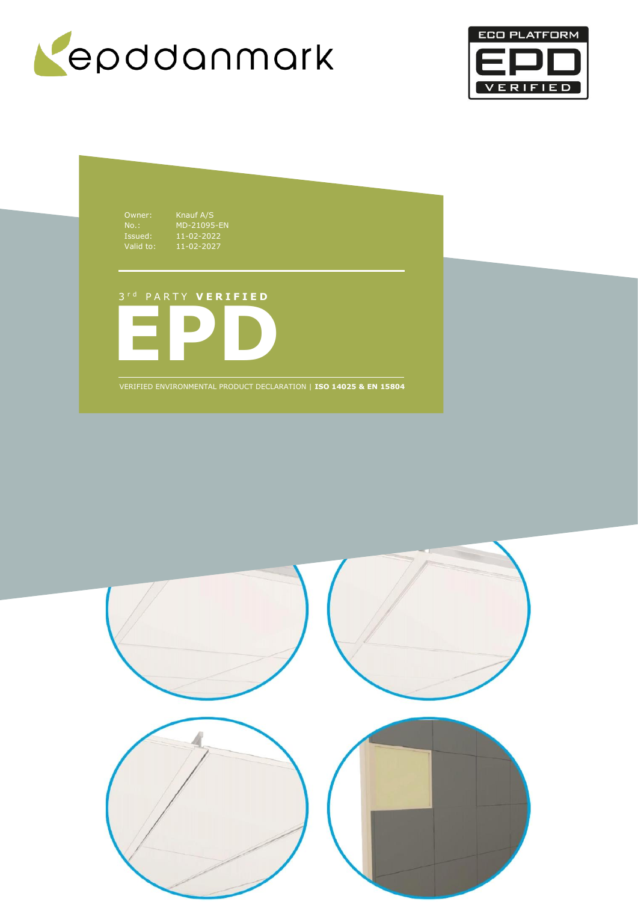



Owner: Knauf A/S Issued: 11-02-2022 Valid to: 11-02-2027

No.: MD-21095-EN

# 3 r d P A R T Y **V E R I F I E D**



VERIFIED ENVIRONMENTAL PRODUCT DECLARATION | **ISO 14025 & EN 15804**

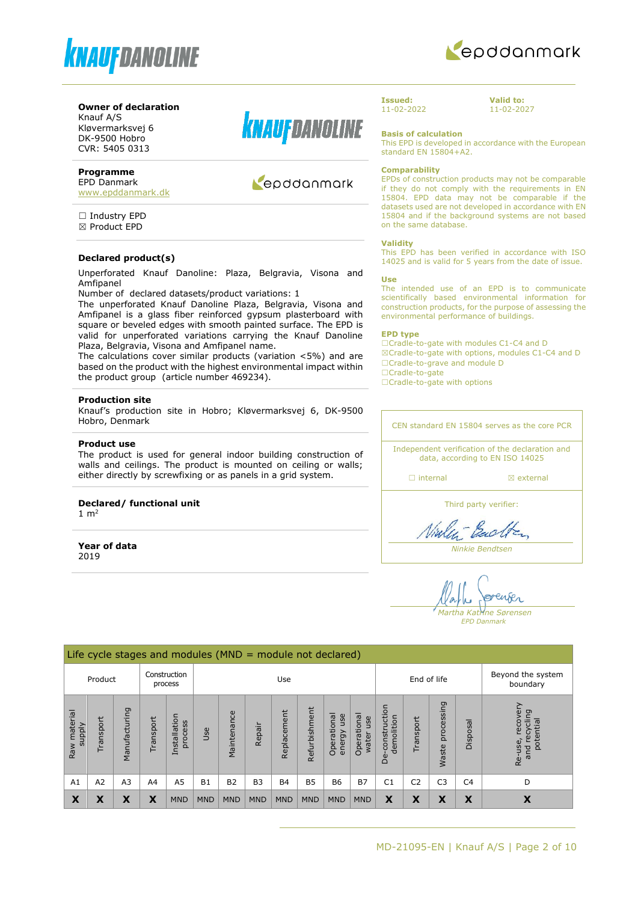



## **Owner of declaration**

Knauf A/S Kløvermarksvej 6 DK-9500 Hobro CVR: 5405 0313

## **Programme**

EPD Danmark [www.epddanmark.dk](http://www.epddanmark.dk/)

□ Industry EPD ☒ Product EPD

#### **Declared product(s)**

Unperforated Knauf Danoline: Plaza, Belgravia, Visona and Amfipanel

Number of declared datasets/product variations: 1

The unperforated Knauf Danoline Plaza, Belgravia, Visona and Amfipanel is a glass fiber reinforced gypsum plasterboard with square or beveled edges with smooth painted surface. The EPD is valid for unperforated variations carrying the Knauf Danoline Plaza, Belgravia, Visona and Amfipanel name.

The calculations cover similar products (variation <5%) and are based on the product with the highest environmental impact within the product group (article number 469234).

#### **Production site**

Knauf's production site in Hobro; Kløvermarksvej 6, DK-9500 Hobro, Denmark

#### **Product use**

The product is used for general indoor building construction of walls and ceilings. The product is mounted on ceiling or walls; either directly by screwfixing or as panels in a grid system.

#### **Declared/ functional unit**

1  $m<sup>2</sup>$ 

**Year of data** 2019



# Repodanmark

**Issued:** 11-02-2022 **Valid to:** 11-02-2027

**Basis of calculation** This EPD is developed in accordance with the European standard EN 15804+A2.

#### **Comparability**

EPDs of construction products may not be comparable if they do not comply with the requirements in EN 15804. EPD data may not be comparable if the datasets used are not developed in accordance with EN 15804 and if the background systems are not based on the same database.

#### **Validity**

This EPD has been verified in accordance with ISO 14025 and is valid for 5 years from the date of issue.

#### **Use**

The intended use of an EPD is to communicate scientifically based environmental information for construction products, for the purpose of assessing the environmental performance of buildings.

#### **EPD type**

☐Cradle-to-gate with modules C1-C4 and D ☒Cradle-to-gate with options, modules C1-C4 and D ☐Cradle-to-grave and module D ☐Cradle-to-gate

□Cradle-to-gate with options

CEN standard EN 15804 serves as the core PCR

Independent verification of the declaration and data, according to EN ISO 14025

□ internal **a** external

Third party verifier:

Viales Each

*Ninkie Bendtsen*

enser *Martha Katrine Sørensen*

*EPD Danmark*

|                                  | Life cycle stages and modules $(MND = module not declared)$ |               |           |                         |            |             |            |             |               |                              |                             |                                 |                |                     |                               |                                                      |
|----------------------------------|-------------------------------------------------------------|---------------|-----------|-------------------------|------------|-------------|------------|-------------|---------------|------------------------------|-----------------------------|---------------------------------|----------------|---------------------|-------------------------------|------------------------------------------------------|
|                                  | Product                                                     |               |           | Construction<br>process |            |             |            | Use         |               |                              |                             | End of life                     |                |                     | Beyond the system<br>boundary |                                                      |
| material<br><b>Alddns</b><br>Raw | Transport                                                   | Manufacturing | Transport | Installation<br>process | Jse        | Maintenance | Repair     | Replacement | Refurbishment | Operational<br>use<br>energy | Operational<br>use<br>water | construction<br>demolition<br>å | Transport      | processing<br>Waste | Disposal                      | recovery<br>recycling<br>potential<br>Re-use,<br>and |
| A1                               | A2                                                          | A3            | A4        | A <sub>5</sub>          | <b>B1</b>  | <b>B2</b>   | <b>B3</b>  | <b>B4</b>   | <b>B5</b>     | <b>B6</b>                    | <b>B7</b>                   | C <sub>1</sub>                  | C <sub>2</sub> | C <sub>3</sub>      | C <sub>4</sub>                | D                                                    |
| X                                | X                                                           | X             | X         | <b>MND</b>              | <b>MND</b> | <b>MND</b>  | <b>MND</b> | <b>MND</b>  | <b>MND</b>    | <b>MND</b>                   | <b>MND</b>                  | X                               | X              | X                   | X                             | X                                                    |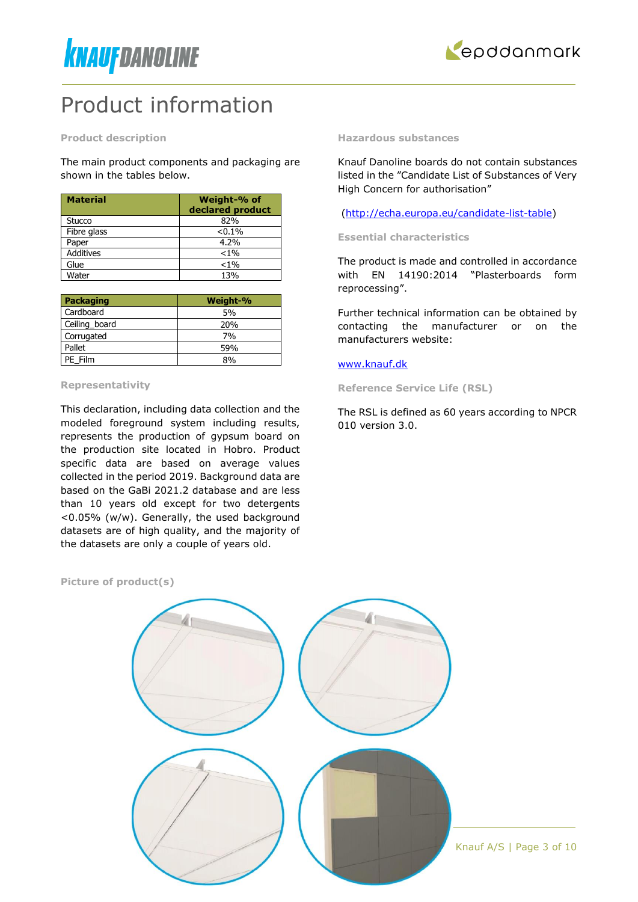



# Product information

**Product description**

The main product components and packaging are shown in the tables below.

| <b>Material</b>  | Weight-% of<br>declared product |
|------------------|---------------------------------|
| Stucco           | 82%                             |
| Fibre glass      | $< 0.1\%$                       |
| Paper            | 4.2%                            |
| <b>Additives</b> | $< 1\%$                         |
| Glue             | $< 1\%$                         |
| Water            | 13%                             |

| Packaging     | Weight-% |
|---------------|----------|
| Cardboard     | 5%       |
| Ceiling_board | 20%      |
| Corrugated    | 7%       |
| Pallet        | 59%      |
| PE Film       | 8%       |

#### **Representativity**

This declaration, including data collection and the modeled foreground system including results, represents the production of gypsum board on the production site located in Hobro. Product specific data are based on average values collected in the period 2019. Background data are based on the GaBi 2021.2 database and are less than 10 years old except for two detergents <0.05% (w/w). Generally, the used background datasets are of high quality, and the majority of the datasets are only a couple of years old.

**Hazardous substances**

Knauf Danoline boards do not contain substances listed in the "Candidate List of Substances of Very High Concern for authorisation"

[\(http://echa.europa.eu/candidate-list-table\)](http://echa.europa.eu/candidate-list-table)

**Essential characteristics** 

The product is made and controlled in accordance with EN 14190:2014 "Plasterboards form reprocessing".

Further technical information can be obtained by contacting the manufacturer or on the manufacturers website:

#### [www.knauf.dk](http://www.knauf.dk/)

**Reference Service Life (RSL)**

The RSL is defined as 60 years according to NPCR 010 version 3.0.

**Picture of product(s)**

Knauf A/S | Page 3 of 10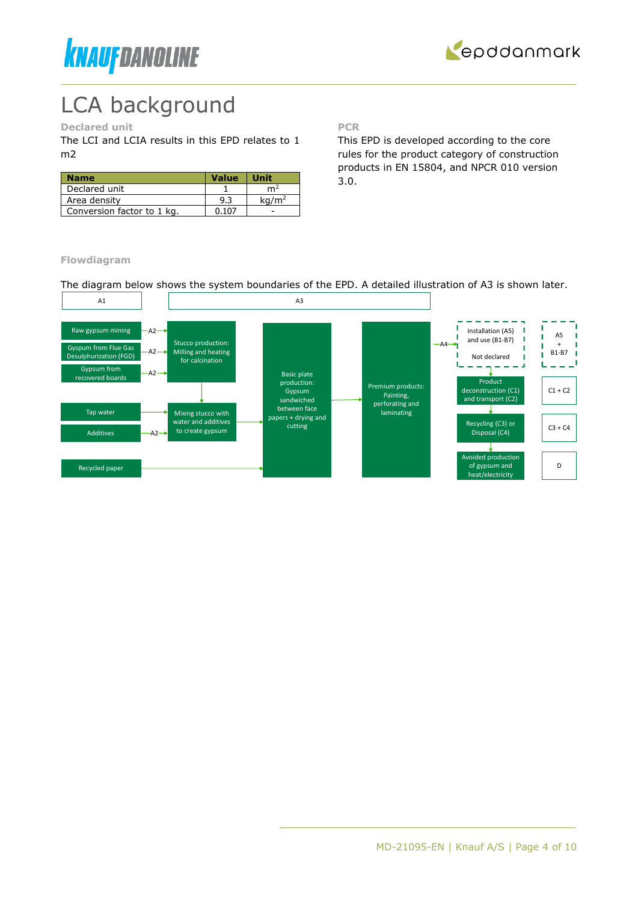



# LCA background

# **Declared unit**

The LCI and LCIA results in this EPD relates to 1 m2

| <b>Name</b>                | <b>Value</b> | <b>Unit</b>       |
|----------------------------|--------------|-------------------|
| Declared unit              |              | m <sup>2</sup>    |
| Area density               | 9.3          | ka/m <sup>2</sup> |
| Conversion factor to 1 kg. | 0.107        |                   |

**PCR**

This EPD is developed according to the core rules for the product category of construction products in EN 15804, and NPCR 010 version 3.0.

**Flowdiagram**

The diagram below shows the system boundaries of the EPD. A detailed illustration of A3 is shown later.

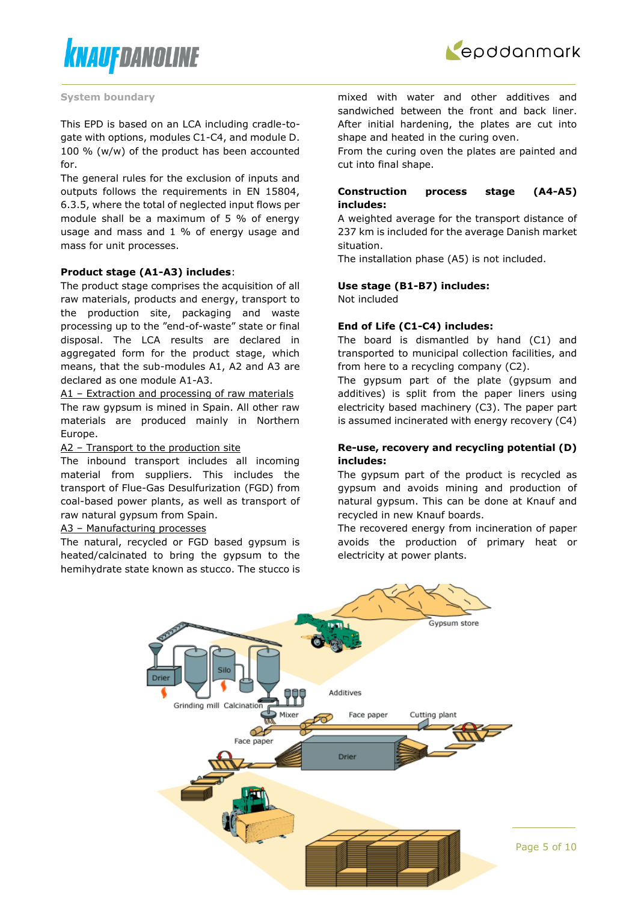



#### **System boundary**

This EPD is based on an LCA including cradle-togate with options, modules C1-C4, and module D. 100 % (w/w) of the product has been accounted for.

The general rules for the exclusion of inputs and outputs follows the requirements in EN 15804, 6.3.5, where the total of neglected input flows per module shall be a maximum of 5 % of energy usage and mass and 1 % of energy usage and mass for unit processes.

#### **Product stage (A1-A3) includes**:

The product stage comprises the acquisition of all raw materials, products and energy, transport to the production site, packaging and waste processing up to the "end-of-waste" state or final disposal. The LCA results are declared in aggregated form for the product stage, which means, that the sub-modules A1, A2 and A3 are declared as one module A1-A3.

A1 – Extraction and processing of raw materials The raw gypsum is mined in Spain. All other raw materials are produced mainly in Northern Europe.

#### A2 – Transport to the production site

The inbound transport includes all incoming material from suppliers. This includes the transport of Flue-Gas Desulfurization (FGD) from coal-based power plants, as well as transport of raw natural gypsum from Spain.

#### A3 – Manufacturing processes

The natural, recycled or FGD based gypsum is heated/calcinated to bring the gypsum to the hemihydrate state known as stucco. The stucco is mixed with water and other additives and sandwiched between the front and back liner. After initial hardening, the plates are cut into shape and heated in the curing oven.

From the curing oven the plates are painted and cut into final shape.

#### **Construction process stage (A4-A5) includes:**

A weighted average for the transport distance of 237 km is included for the average Danish market situation.

The installation phase (A5) is not included.

#### **Use stage (B1-B7) includes:**

Not included

#### **End of Life (C1-C4) includes:**

The board is dismantled by hand (C1) and transported to municipal collection facilities, and from here to a recycling company (C2).

The gypsum part of the plate (gypsum and additives) is split from the paper liners using electricity based machinery (C3). The paper part is assumed incinerated with energy recovery (C4)

#### **Re-use, recovery and recycling potential (D) includes:**

The gypsum part of the product is recycled as gypsum and avoids mining and production of natural gypsum. This can be done at Knauf and recycled in new Knauf boards.

The recovered energy from incineration of paper avoids the production of primary heat or electricity at power plants.

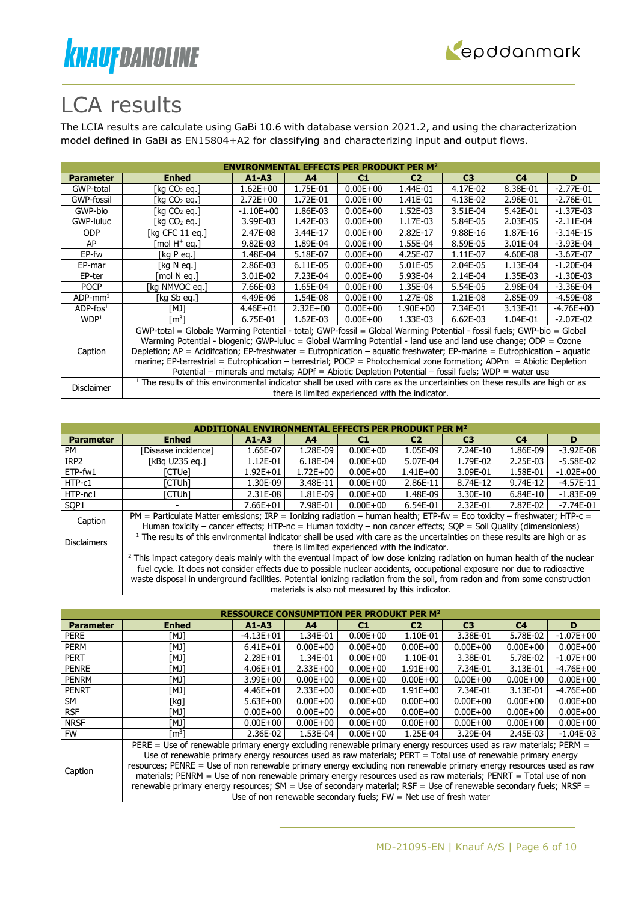



# LCA results

The LCIA results are calculate using GaBi 10.6 with database version 2021.2, and using the characterization model defined in GaBi as EN15804+A2 for classifying and characterizing input and output flows.

| <b>ENVIRONMENTAL EFFECTS PER PRODUKT PER M<sup>2</sup></b> |                                                                                                                                       |               |                |                                                  |                |                |                |             |  |  |
|------------------------------------------------------------|---------------------------------------------------------------------------------------------------------------------------------------|---------------|----------------|--------------------------------------------------|----------------|----------------|----------------|-------------|--|--|
| <b>Parameter</b>                                           | <b>Enhed</b>                                                                                                                          | $A1 - A3$     | A <sup>4</sup> | C1                                               | C <sub>2</sub> | C <sub>3</sub> | C <sub>4</sub> | D           |  |  |
| GWP-total                                                  | [kg CO2 eg.]                                                                                                                          | $1.62E + 00$  | 1.75E-01       | $0.00E + 00$                                     | 1.44E-01       | 4.17E-02       | 8.38E-01       | $-2.77E-01$ |  |  |
| GWP-fossil                                                 | [kg CO2 eg.]                                                                                                                          | $2.72E+00$    | 1.72E-01       | $0.00E + 00$                                     | 1.41E-01       | 4.13E-02       | 2.96E-01       | $-2.76E-01$ |  |  |
| GWP-bio                                                    | [kg CO2 eg.]                                                                                                                          | $-1.10E + 00$ | 1.86E-03       | $0.00E + 00$                                     | 1.52E-03       | 3.51E-04       | 5.42E-01       | $-1.37E-03$ |  |  |
| GWP-luluc                                                  | [kg CO2 eg.]                                                                                                                          | 3.99E-03      | 1.42E-03       | $0.00E + 00$                                     | 1.17E-03       | 5.84E-05       | 2.03E-05       | $-2.11E-04$ |  |  |
| <b>ODP</b>                                                 | [kg CFC 11 eg.]                                                                                                                       | 2.47E-08      | 3.44E-17       | $0.00E + 00$                                     | 2.82E-17       | 9.88E-16       | 1.87E-16       | $-3.14E-15$ |  |  |
| AP                                                         | [mol H <sup>+</sup> eq.]                                                                                                              | 9.82E-03      | 1.89E-04       | $0.00E + 00$                                     | 1.55E-04       | 8.59E-05       | 3.01E-04       | $-3.93E-04$ |  |  |
| EP-fw                                                      | [ $kg$ P eq.]                                                                                                                         | 1.48E-04      | 5.18E-07       | $0.00E + 00$                                     | 4.25E-07       | 1.11E-07       | 4.60E-08       | $-3.67E-07$ |  |  |
| EP-mar                                                     | [kg N eg.]                                                                                                                            | 2.86E-03      | 6.11E-05       | $0.00E + 00$                                     | 5.01E-05       | 2.04E-05       | 1.13E-04       | $-1.20E-04$ |  |  |
| EP-ter                                                     | mol N ea.1                                                                                                                            | 3.01E-02      | 7.23E-04       | $0.00E + 00$                                     | 5.93E-04       | 2.14E-04       | 1.35E-03       | $-1.30E-03$ |  |  |
| <b>POCP</b>                                                | [kg NMVOC eg.]                                                                                                                        | 7.66E-03      | 1.65E-04       | $0.00E + 00$                                     | 1.35E-04       | 5.54E-05       | 2.98E-04       | $-3.36E-04$ |  |  |
| $ADP$ -mm <sup>1</sup>                                     | [kg Sb eg.]                                                                                                                           | 4.49E-06      | 1.54E-08       | $0.00E + 00$                                     | 1.27E-08       | 1.21E-08       | 2.85E-09       | $-4.59E-08$ |  |  |
| $ADP-fos1$                                                 | [MJ]                                                                                                                                  | 4.46E+01      | $2.32E + 00$   | $0.00E + 00$                                     | $1.90E + 00$   | 7.34E-01       | 3.13E-01       | $-4.76E+00$ |  |  |
| WDP <sup>1</sup>                                           | $\mathsf{Im}^3 \mathsf{l}$                                                                                                            | 6.75E-01      | $1.62E-03$     | $0.00E + 00$                                     | 1.33E-03       | $6.62E-03$     | 1.04E-01       | $-2.07E-02$ |  |  |
|                                                            | GWP-total = Globale Warming Potential - total; GWP-fossil = Global Warming Potential - fossil fuels; GWP-bio = Global                 |               |                |                                                  |                |                |                |             |  |  |
|                                                            | Warming Potential - biogenic; GWP-luluc = Global Warming Potential - land use and land use change; ODP = Ozone                        |               |                |                                                  |                |                |                |             |  |  |
| Caption                                                    | Depletion; AP = Acidifcation; EP-freshwater = Eutrophication - aquatic freshwater; EP-marine = Eutrophication - aquatic               |               |                |                                                  |                |                |                |             |  |  |
|                                                            | marine; EP-terrestrial = Eutrophication - terrestrial; POCP = Photochemical zone formation; ADPm = Abiotic Depletion                  |               |                |                                                  |                |                |                |             |  |  |
|                                                            | Potential – minerals and metals; ADPf = Abiotic Depletion Potential – fossil fuels; WDP = water use                                   |               |                |                                                  |                |                |                |             |  |  |
|                                                            | <sup>1</sup> The results of this environmental indicator shall be used with care as the uncertainties on these results are high or as |               |                |                                                  |                |                |                |             |  |  |
| Disclaimer                                                 |                                                                                                                                       |               |                | there is limited experienced with the indicator. |                |                |                |             |  |  |

| <b>Parameter</b>   | <b>Enhed</b>                                                                                                                                                                                                                                                                                                                                                                                     | $A1 - A3$    | A4                                                | C1           | C2           | C <sub>3</sub> | C <sub>4</sub> | D             |
|--------------------|--------------------------------------------------------------------------------------------------------------------------------------------------------------------------------------------------------------------------------------------------------------------------------------------------------------------------------------------------------------------------------------------------|--------------|---------------------------------------------------|--------------|--------------|----------------|----------------|---------------|
| PM                 | [Disease incidence]                                                                                                                                                                                                                                                                                                                                                                              | 1.66E-07     | 1.28E-09                                          | $0.00E + 00$ | 1.05E-09     | $7.24E-10$     | 1.86E-09       | $-3.92E - 08$ |
| IRP <sub>2</sub>   | [kBa U235 ea.]                                                                                                                                                                                                                                                                                                                                                                                   | 1.12E-01     | 6.18E-04                                          | $0.00E + 00$ | 5.07E-04     | 1.79E-02       | 2.25E-03       | $-5.58E-02$   |
| ETP-fw1            | [CTUe]                                                                                                                                                                                                                                                                                                                                                                                           | $1.92E + 01$ | $1.72E + 00$                                      | $0.00E + 00$ | $1.41E + 00$ | 3.09E-01       | 1.58E-01       | $-1.02E + 00$ |
| HTP-c1             | ัCTUh1                                                                                                                                                                                                                                                                                                                                                                                           | 1.30E-09     | 3.48E-11                                          | $0.00E + 00$ | 2.86E-11     | 8.74E-12       | 9.74E-12       | $-4.57E-11$   |
| HTP-nc1            | [CTUh]                                                                                                                                                                                                                                                                                                                                                                                           | 2.31E-08     | 1.81E-09                                          | $0.00E + 00$ | 1.48E-09     | 3.30E-10       | 6.84E-10       | $-1.83E-09$   |
| SOP <sub>1</sub>   |                                                                                                                                                                                                                                                                                                                                                                                                  | $7.66E + 01$ | 7.98E-01                                          | $0.00E + 00$ | 6.54E-01     | 2.32E-01       | 7.87E-02       | $-7.74E - 01$ |
| Caption            | PM = Particulate Matter emissions; IRP = Ionizing radiation – human health; ETP-fw = Eco toxicity – freshwater; HTP-c =<br>Human toxicity – cancer effects; HTP-nc = Human toxicity – non cancer effects; $SQP =$ Soil Quality (dimensionless)                                                                                                                                                   |              |                                                   |              |              |                |                |               |
| <b>Disclaimers</b> | $1$ The results of this environmental indicator shall be used with care as the uncertainties on these results are high or as                                                                                                                                                                                                                                                                     |              | there is limited experienced with the indicator.  |              |              |                |                |               |
|                    | <sup>2</sup> This impact category deals mainly with the eventual impact of low dose ionizing radiation on human health of the nuclear<br>fuel cycle. It does not consider effects due to possible nuclear accidents, occupational exposure nor due to radioactive<br>waste disposal in underground facilities. Potential ionizing radiation from the soil, from radon and from some construction |              | materials is also not measured by this indicator. |              |              |                |                |               |

| <b>RESSOURCE CONSUMPTION</b><br>PER M <sup>2</sup> |                                                                                                                      |                                                                                                               |                |              |                |                |                |               |  |  |
|----------------------------------------------------|----------------------------------------------------------------------------------------------------------------------|---------------------------------------------------------------------------------------------------------------|----------------|--------------|----------------|----------------|----------------|---------------|--|--|
| <b>Parameter</b>                                   | <b>Enhed</b>                                                                                                         | $A1 - A3$                                                                                                     | A <sub>4</sub> | C1           | C <sub>2</sub> | C <sub>3</sub> | C <sub>4</sub> | D             |  |  |
| <b>PERE</b>                                        | [MJ]                                                                                                                 | $-4.13E + 01$                                                                                                 | 1.34E-01       | $0.00E + 00$ | 1.10E-01       | 3.38E-01       | 5.78E-02       | $-1.07E + 00$ |  |  |
| <b>PERM</b>                                        | [MJ]                                                                                                                 | $6.41E + 01$                                                                                                  | $0.00E + 00$   | $0.00E + 00$ | $0.00E + 00$   | $0.00E + 00$   | $0.00E + 00$   | $0.00E + 00$  |  |  |
| <b>PERT</b>                                        | [MJ]                                                                                                                 | $2.28E + 01$                                                                                                  | 1.34E-01       | $0.00E + 00$ | 1.10E-01       | 3.38E-01       | 5.78E-02       | $-1.07E + 00$ |  |  |
| <b>PENRE</b>                                       | [MJ]                                                                                                                 | $4.06E + 01$                                                                                                  | $2.33E+00$     | $0.00E + 00$ | $1.91E + 00$   | 7.34E-01       | 3.13E-01       | $-4.76E + 00$ |  |  |
| <b>PENRM</b>                                       | TMJ1                                                                                                                 | $3.99E + 00$                                                                                                  | $0.00E + 00$   | $0.00E + 00$ | $0.00E + 00$   | $0.00E + 00$   | $0.00E + 00$   | $0.00E + 00$  |  |  |
| <b>PENRT</b>                                       | [MJ]                                                                                                                 | $4.46E + 01$                                                                                                  | $2.33E+00$     | $0.00E + 00$ | $1.91E + 00$   | 7.34E-01       | 3.13E-01       | $-4.76E + 00$ |  |  |
| SM                                                 | [kg]                                                                                                                 | $5.63E + 00$                                                                                                  | $0.00E + 00$   | $0.00E + 00$ | $0.00E + 00$   | $0.00E + 00$   | $0.00E + 00$   | $0.00E + 00$  |  |  |
| <b>RSF</b>                                         | [MJ]                                                                                                                 | $0.00E + 00$                                                                                                  | $0.00E + 00$   | $0.00E + 00$ | $0.00E + 00$   | $0.00E + 00$   | $0.00E + 00$   | $0.00E + 00$  |  |  |
| <b>NRSF</b>                                        | [MJ]                                                                                                                 | $0.00E + 00$                                                                                                  | $0.00E + 00$   | $0.00E + 00$ | $0.00E + 00$   | $0.00E + 00$   | $0.00E + 00$   | $0.00E + 00$  |  |  |
| <b>FW</b>                                          | [m $^3$ ]                                                                                                            | 2.36E-02                                                                                                      | 1.53E-04       | $0.00E + 00$ | 1.25E-04       | 3.29E-04       | 2.45E-03       | $-1.04E-03$   |  |  |
|                                                    | PERE = Use of renewable primary energy excluding renewable primary energy resources used as raw materials; PERM =    |                                                                                                               |                |              |                |                |                |               |  |  |
|                                                    |                                                                                                                      | Use of renewable primary energy resources used as raw materials; PERT = Total use of renewable primary energy |                |              |                |                |                |               |  |  |
| Caption                                            | resources; PENRE = Use of non renewable primary energy excluding non renewable primary energy resources used as raw  |                                                                                                               |                |              |                |                |                |               |  |  |
|                                                    | materials; PENRM = Use of non renewable primary energy resources used as raw materials; PENRT = Total use of non     |                                                                                                               |                |              |                |                |                |               |  |  |
|                                                    | renewable primary energy resources; SM = Use of secondary material; $RSF = Use$ of renewable secondary fuels; NRSF = |                                                                                                               |                |              |                |                |                |               |  |  |
|                                                    |                                                                                                                      | Use of non renewable secondary fuels; $FW = Net$ use of fresh water                                           |                |              |                |                |                |               |  |  |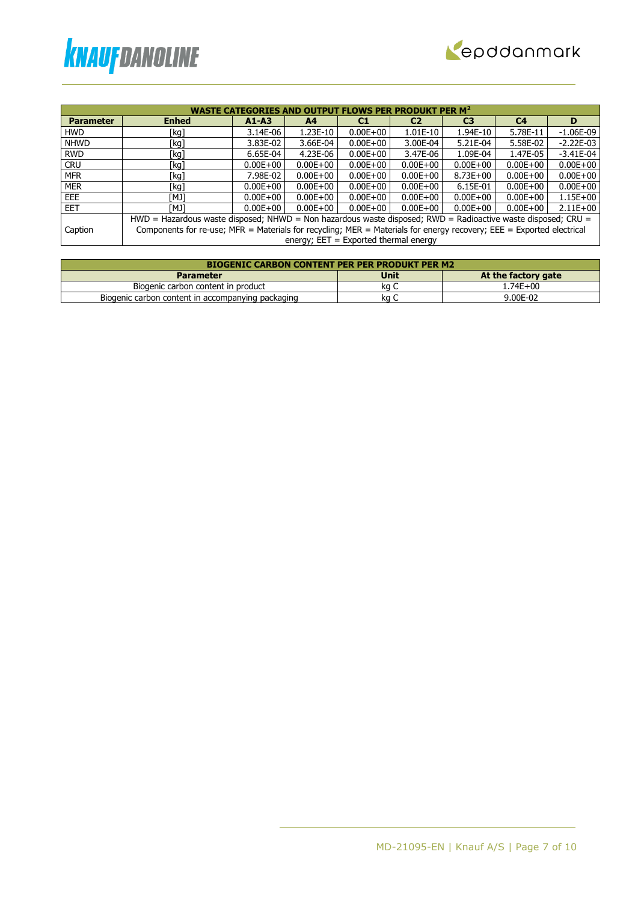



|                  | <b>WASTE CATEGORIES AND OUTPUT FLOWS PER PRODUKT PER M<sup>2</sup></b>                                               |                                                                                                                |                                         |              |              |                |                |              |  |  |  |
|------------------|----------------------------------------------------------------------------------------------------------------------|----------------------------------------------------------------------------------------------------------------|-----------------------------------------|--------------|--------------|----------------|----------------|--------------|--|--|--|
| <b>Parameter</b> | <b>Enhed</b>                                                                                                         | $A1 - A3$                                                                                                      | A4                                      | C1           | C2           | C <sub>3</sub> | C <sub>4</sub> | D            |  |  |  |
| <b>HWD</b>       | [kg]                                                                                                                 | 3.14E-06                                                                                                       | 1.23E-10                                | $0.00E + 00$ | $1.01E-10$   | 1.94E-10       | 5.78E-11       | $-1.06E-09$  |  |  |  |
| <b>NHWD</b>      | [kg]                                                                                                                 | 3.83E-02                                                                                                       | 3.66E-04                                | $0.00E + 00$ | 3.00E-04     | 5.21E-04       | 5.58E-02       | $-2.22E-03$  |  |  |  |
| <b>RWD</b>       | [kg]                                                                                                                 | 6.65E-04                                                                                                       | 4.23E-06                                | $0.00E + 00$ | 3.47E-06     | 1.09E-04       | 1.47E-05       | $-3.41E-04$  |  |  |  |
| <b>CRU</b>       | [kg]                                                                                                                 | $0.00E + 00$                                                                                                   | $0.00E + 00$                            | $0.00E + 00$ | $0.00E + 00$ | $0.00E + 00$   | $0.00E + 00$   | $0.00E + 00$ |  |  |  |
| <b>MFR</b>       | [kg]                                                                                                                 | 7.98E-02                                                                                                       | $0.00E + 00$                            | $0.00E + 00$ | $0.00E + 00$ | $8.73E + 00$   | $0.00E + 00$   | $0.00E + 00$ |  |  |  |
| <b>MER</b>       | [kg]                                                                                                                 | $0.00E + 00$                                                                                                   | $0.00E + 00$                            | $0.00E + 00$ | $0.00E + 00$ | 6.15E-01       | $0.00E + 00$   | $0.00E + 00$ |  |  |  |
| EEE              | ונאז                                                                                                                 | $0.00E + 00$                                                                                                   | $0.00E + 00$                            | $0.00E + 00$ | $0.00E + 00$ | $0.00E + 00$   | $0.00E + 00$   | $1.15E + 00$ |  |  |  |
| <b>EET</b>       | ונאז                                                                                                                 | $0.00E + 00$                                                                                                   | $0.00E + 00$                            | $0.00E + 00$ | $0.00E + 00$ | $0.00E + 00$   | $0.00E + 00$   | $2.11E+00$   |  |  |  |
|                  |                                                                                                                      | $HWD =$ Hazardous waste disposed; NHWD = Non hazardous waste disposed; RWD = Radioactive waste disposed; CRU = |                                         |              |              |                |                |              |  |  |  |
| Caption          | Components for re-use; MFR = Materials for recycling; MER = Materials for energy recovery; EEE = Exported electrical |                                                                                                                |                                         |              |              |                |                |              |  |  |  |
|                  |                                                                                                                      |                                                                                                                | energy; $EET = Exported thermal energy$ |              |              |                |                |              |  |  |  |

| <b>BIOGENIC CARBON CONTENT PER PER PRODUKT PER M2</b> |      |                     |  |  |  |  |  |
|-------------------------------------------------------|------|---------------------|--|--|--|--|--|
| <b>Parameter</b>                                      | Unit | At the factory gate |  |  |  |  |  |
| Biogenic carbon content in product                    | ka C | 1.74E+00            |  |  |  |  |  |
| Biogenic carbon content in accompanying packaging     | ka   | 9.00E-02            |  |  |  |  |  |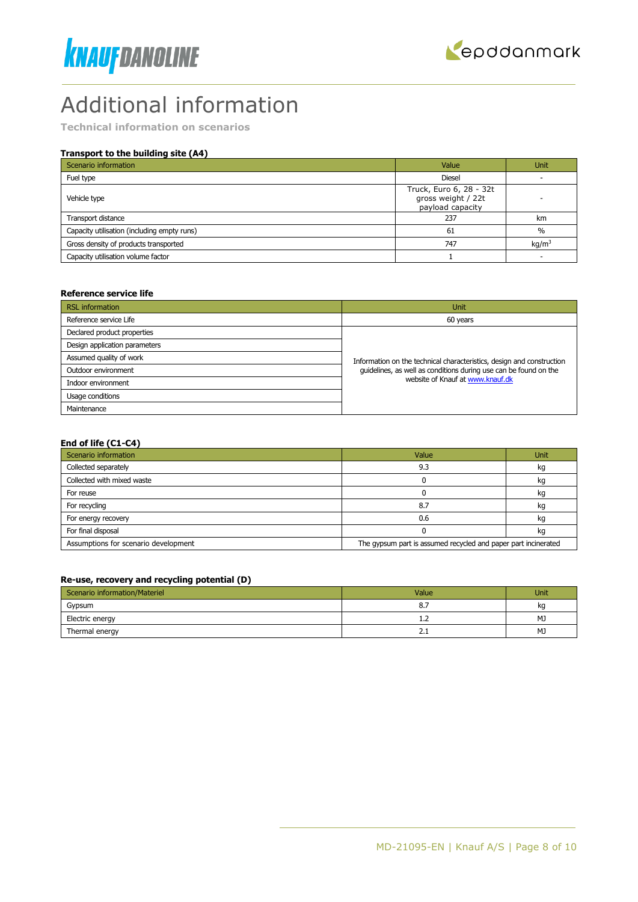



# Additional information

**Technical information on scenarios**

### **Transport to the building site (A4)**

| Scenario information                        | Value                                                             | <b>Unit</b>       |
|---------------------------------------------|-------------------------------------------------------------------|-------------------|
| Fuel type                                   | <b>Diesel</b>                                                     |                   |
| Vehicle type                                | Truck, Euro 6, 28 - 32t<br>gross weight / 22t<br>payload capacity |                   |
| Transport distance                          | 237                                                               | km                |
| Capacity utilisation (including empty runs) | 61                                                                | $\%$              |
| Gross density of products transported       | 747                                                               | kg/m <sup>3</sup> |
| Capacity utilisation volume factor          |                                                                   |                   |

#### **Reference service life**

| <b>RSL</b> information        | Unit                                                                  |
|-------------------------------|-----------------------------------------------------------------------|
| Reference service Life        | 60 years                                                              |
| Declared product properties   |                                                                       |
| Design application parameters |                                                                       |
| Assumed quality of work       | Information on the technical characteristics, design and construction |
| Outdoor environment           | guidelines, as well as conditions during use can be found on the      |
| Indoor environment            | website of Knauf at www.knauf.dk                                      |
| Usage conditions              |                                                                       |
| Maintenance                   |                                                                       |

#### **End of life (C1-C4)**

| Scenario information                 | Value                                                          | Unit |
|--------------------------------------|----------------------------------------------------------------|------|
| Collected separately                 | 9.3                                                            | kq   |
| Collected with mixed waste           |                                                                | kg   |
| For reuse                            |                                                                | kg   |
| For recycling                        | 8.7                                                            | kq   |
| For energy recovery                  | 0.6                                                            | kq   |
| For final disposal                   |                                                                | kg   |
| Assumptions for scenario development | The gypsum part is assumed recycled and paper part incinerated |      |

### **Re-use, recovery and recycling potential (D)**

| Scenario information/Materiel | Value                   | Unit |
|-------------------------------|-------------------------|------|
| Gypsum                        | 8.7                     | kq   |
| Electric energy               | <b>1.4</b>              | MJ   |
| Thermal energy                | $\mathsf{L}.\mathsf{L}$ | MJ   |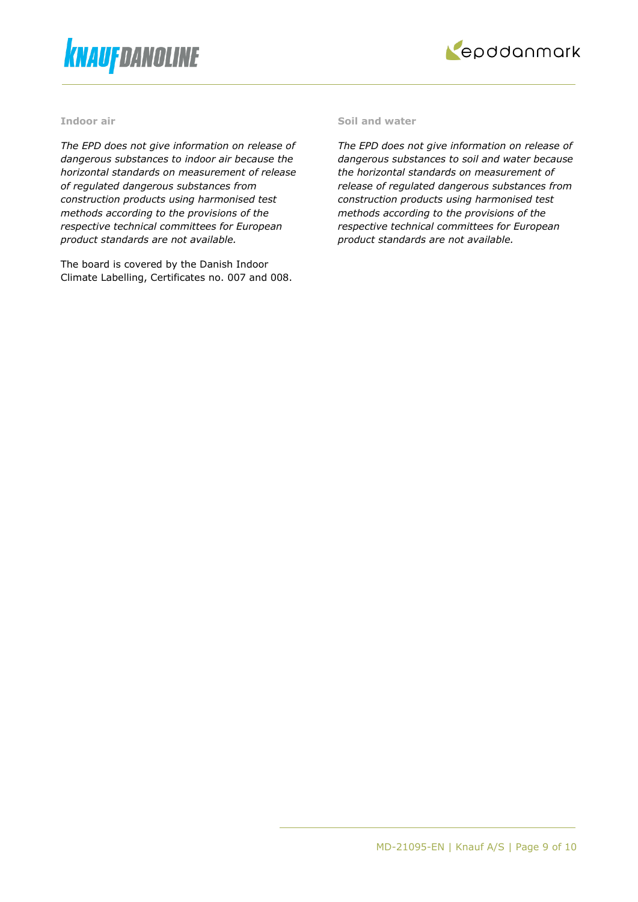



#### **Indoor air**

*The EPD does not give information on release of dangerous substances to indoor air because the horizontal standards on measurement of release of regulated dangerous substances from construction products using harmonised test methods according to the provisions of the respective technical committees for European product standards are not available.*

The board is covered by the Danish Indoor Climate Labelling, Certificates no. 007 and 008.

#### **Soil and water**

*The EPD does not give information on release of dangerous substances to soil and water because the horizontal standards on measurement of release of regulated dangerous substances from construction products using harmonised test methods according to the provisions of the respective technical committees for European product standards are not available.*